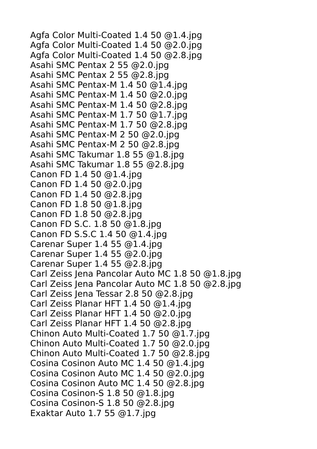Agfa Color Multi-Coated 1.4 50 @1.4.jpg Agfa Color Multi-Coated 1.4 50 @2.0.jpg Agfa Color Multi-Coated 1.4 50 @2.8.jpg Asahi SMC Pentax 2 55 @2.0.jpg Asahi SMC Pentax 2 55 @2.8.jpg Asahi SMC Pentax-M 1.4 50 @1.4.jpg Asahi SMC Pentax-M 1.4 50 @2.0.jpg Asahi SMC Pentax-M 1.4 50 @2.8.jpg Asahi SMC Pentax-M 1.7 50 @1.7.jpg Asahi SMC Pentax-M 1.7 50 @2.8.jpg Asahi SMC Pentax-M 2 50 @2.0.jpg Asahi SMC Pentax-M 2 50 @2.8.jpg Asahi SMC Takumar 1.8 55 @1.8.jpg Asahi SMC Takumar 1.8 55 @2.8.jpg Canon FD 1.4 50 @1.4.jpg Canon FD 1.4 50 @2.0.jpg Canon FD 1.4 50 @2.8.jpg Canon FD 1.8 50 @1.8.jpg Canon FD 1.8 50 @2.8.jpg Canon FD S.C. 1.8 50 @1.8.jpg Canon FD S.S.C 1.4 50 @1.4.jpg Carenar Super 1.4 55 @1.4.jpg Carenar Super 1.4 55 @2.0.jpg Carenar Super 1.4 55 @2.8.jpg Carl Zeiss Jena Pancolar Auto MC 1.8 50 @1.8.jpg Carl Zeiss Jena Pancolar Auto MC 1.8 50 @2.8.jpg Carl Zeiss Jena Tessar 2.8 50 @2.8.jpg Carl Zeiss Planar HFT 1.4 50 @1.4.jpg Carl Zeiss Planar HFT 1.4 50 @2.0.jpg Carl Zeiss Planar HFT 1.4 50 @2.8.jpg Chinon Auto Multi-Coated 1.7 50 @1.7.jpg Chinon Auto Multi-Coated 1.7 50 @2.0.jpg Chinon Auto Multi-Coated 1.7 50 @2.8.jpg Cosina Cosinon Auto MC 1.4 50 @1.4.jpg Cosina Cosinon Auto MC 1.4 50 @2.0.jpg Cosina Cosinon Auto MC 1.4 50 @2.8.jpg Cosina Cosinon-S 1.8 50 @1.8.jpg Cosina Cosinon-S 1.8 50 @2.8.jpg Exaktar Auto 1.7 55 @1.7.jpg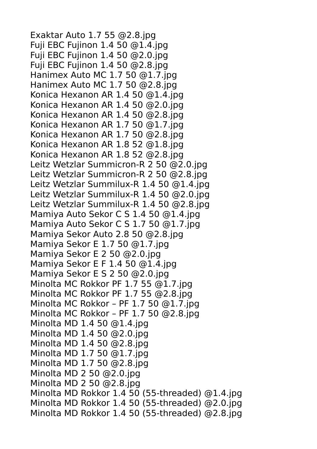Exaktar Auto 1.7 55 @2.8.jpg Fuji EBC Fujinon 1.4 50 @1.4.jpg Fuji EBC Fujinon 1.4 50 @2.0.jpg Fuji EBC Fujinon 1.4 50 @2.8.jpg Hanimex Auto MC 1.7 50 @1.7.jpg Hanimex Auto MC 1.7 50 @2.8.jpg Konica Hexanon AR 1.4 50 @1.4.jpg Konica Hexanon AR 1.4 50 @2.0.jpg Konica Hexanon AR 1.4 50 @2.8.jpg Konica Hexanon AR 1.7 50 @1.7.jpg Konica Hexanon AR 1.7 50 @2.8.jpg Konica Hexanon AR 1.8 52 @1.8.jpg Konica Hexanon AR 1.8 52 @2.8.jpg Leitz Wetzlar Summicron-R 2 50 @2.0.jpg Leitz Wetzlar Summicron-R 2 50 @2.8.jpg Leitz Wetzlar Summilux-R 1.4 50 @1.4.jpg Leitz Wetzlar Summilux-R 1.4 50 @2.0.jpg Leitz Wetzlar Summilux-R 1.4 50 @2.8.jpg Mamiya Auto Sekor C S 1.4 50 @1.4.jpg Mamiya Auto Sekor C S 1.7 50 @1.7.jpg Mamiya Sekor Auto 2.8 50 @2.8.jpg Mamiya Sekor E 1.7 50 @1.7.jpg Mamiya Sekor E 2 50 @2.0.jpg Mamiya Sekor E F 1.4 50 @1.4.jpg Mamiya Sekor E S 2 50 @2.0.jpg Minolta MC Rokkor PF 1.7 55 @1.7.jpg Minolta MC Rokkor PF 1.7 55 @2.8.jpg Minolta MC Rokkor – PF 1.7 50 @1.7.jpg Minolta MC Rokkor – PF 1.7 50 @2.8.jpg Minolta MD 1.4 50 @1.4.jpg Minolta MD 1.4 50 @2.0.jpg Minolta MD 1.4 50 @2.8.jpg Minolta MD 1.7 50 @1.7.jpg Minolta MD 1.7 50 @2.8.jpg Minolta MD 2 50 @2.0.jpg Minolta MD 2 50 @2.8.jpg Minolta MD Rokkor 1.4 50 (55-threaded) @1.4.jpg Minolta MD Rokkor 1.4 50 (55-threaded) @2.0.jpg Minolta MD Rokkor 1.4 50 (55-threaded) @2.8.jpg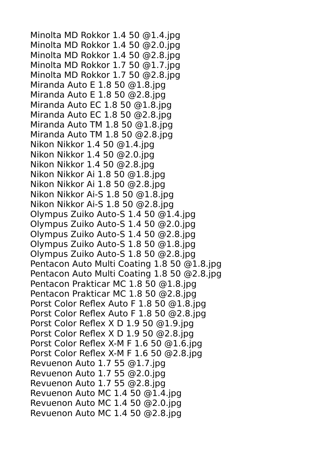Minolta MD Rokkor 1.4 50 @1.4.jpg Minolta MD Rokkor 1.4 50 @2.0.jpg Minolta MD Rokkor 1.4 50 @2.8.jpg Minolta MD Rokkor 1.7 50 @1.7.jpg Minolta MD Rokkor 1.7 50 @2.8.jpg Miranda Auto E 1.8 50 @1.8.jpg Miranda Auto E 1.8 50 @2.8.jpg Miranda Auto EC 1.8 50 @1.8.jpg Miranda Auto EC 1.8 50 @2.8.jpg Miranda Auto TM 1.8 50 @1.8.jpg Miranda Auto TM 1.8 50 @2.8.jpg Nikon Nikkor 1.4 50 @1.4.jpg Nikon Nikkor 1.4 50 @2.0.jpg Nikon Nikkor 1.4 50 @2.8.jpg Nikon Nikkor Ai 1.8 50 @1.8.jpg Nikon Nikkor Ai 1.8 50 @2.8.jpg Nikon Nikkor Ai-S 1.8 50 @1.8.jpg Nikon Nikkor Ai-S 1.8 50 @2.8.jpg Olympus Zuiko Auto-S 1.4 50 @1.4.jpg Olympus Zuiko Auto-S 1.4 50 @2.0.jpg Olympus Zuiko Auto-S 1.4 50 @2.8.jpg Olympus Zuiko Auto-S 1.8 50 @1.8.jpg Olympus Zuiko Auto-S 1.8 50 @2.8.jpg Pentacon Auto Multi Coating 1.8 50 @1.8.jpg Pentacon Auto Multi Coating 1.8 50 @2.8.jpg Pentacon Prakticar MC 1.8 50 @1.8.jpg Pentacon Prakticar MC 1.8 50 @2.8.jpg Porst Color Reflex Auto F 1.8 50 @1.8.jpg Porst Color Reflex Auto F 1.8 50 @2.8.jpg Porst Color Reflex X D 1.9 50 @1.9.jpg Porst Color Reflex X D 1.9 50 @2.8.jpg Porst Color Reflex X-M F 1.6 50 @1.6.jpg Porst Color Reflex X-M F 1.6 50 @2.8.jpg Revuenon Auto 1.7 55 @1.7.jpg Revuenon Auto 1.7 55 @2.0.jpg Revuenon Auto 1.7 55 @2.8.jpg Revuenon Auto MC 1.4 50 @1.4.jpg Revuenon Auto MC 1.4 50 @2.0.jpg Revuenon Auto MC 1.4 50 @2.8.jpg